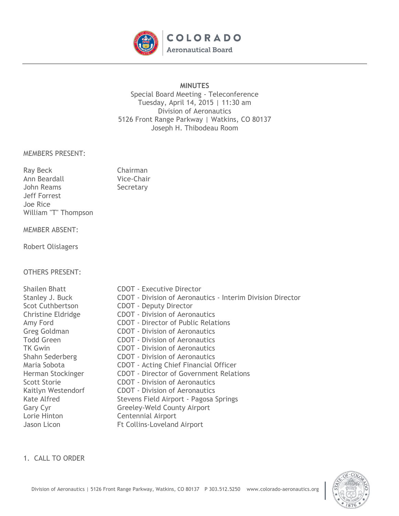

## **MINUTES**

Special Board Meeting - Teleconference Tuesday, April 14, 2015 | 11:30 am Division of Aeronautics 5126 Front Range Parkway | Watkins, CO 80137 Joseph H. Thibodeau Room

## MEMBERS PRESENT:

| <b>Ray Beck</b>      | Chairman   |
|----------------------|------------|
| Ann Beardall         | Vice-Chair |
| John Reams           | Secretary  |
| Jeff Forrest         |            |
| Joe Rice             |            |
| William "T" Thompson |            |
|                      |            |

# MEMBER ABSENT:

Robert Olislagers

# OTHERS PRESENT:

Shailen Bhatt **CDOT** - Executive Director Stanley J. Buck **CDOT** - Division of Aeronautics - Interim Division Director Scot Cuthbertson **CDOT** - Deputy Director Christine Eldridge CDOT - Division of Aeronautics Amy Ford CDOT - Director of Public Relations Greg Goldman **CDOT** - Division of Aeronautics Todd Green **CDOT** - Division of Aeronautics TK Gwin CDOT - Division of Aeronautics Shahn Sederberg CDOT - Division of Aeronautics Maria Sobota CDOT - Acting Chief Financial Officer Herman Stockinger CDOT - Director of Government Relations Scott Storie **CDOT** - Division of Aeronautics Kaitlyn Westendorf CDOT - Division of Aeronautics Kate Alfred Stevens Field Airport - Pagosa Springs Gary Cyr Greeley-Weld County Airport Lorie Hinton **Centennial Airport** Jason Licon **Ft Collins-Loveland Airport** 

1. CALL TO ORDER